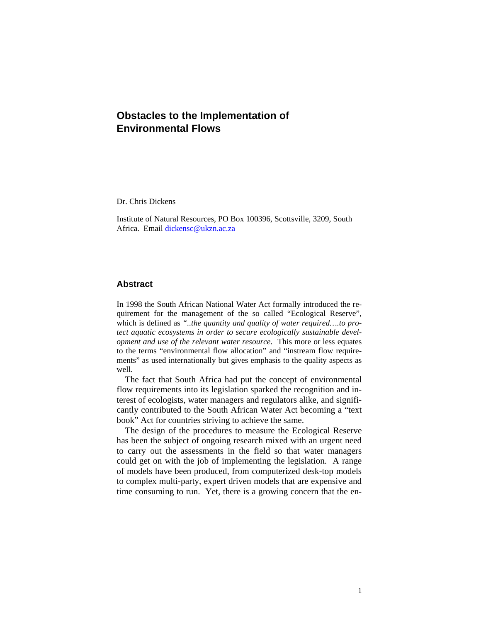# **Obstacles to the Implementation of Environmental Flows**

Dr. Chris Dickens

Institute of Natural Resources, PO Box 100396, Scottsville, 3209, South Africa. Email dickensc@ukzn.ac.za

### **Abstract**

In 1998 the South African National Water Act formally introduced the requirement for the management of the so called "Ecological Reserve", which is defined as *"..the quantity and quality of water required….to protect aquatic ecosystems in order to secure ecologically sustainable development and use of the relevant water resource.* This more or less equates to the terms "environmental flow allocation" and "instream flow requirements" as used internationally but gives emphasis to the quality aspects as well.

The fact that South Africa had put the concept of environmental flow requirements into its legislation sparked the recognition and interest of ecologists, water managers and regulators alike, and significantly contributed to the South African Water Act becoming a "text book" Act for countries striving to achieve the same.

The design of the procedures to measure the Ecological Reserve has been the subject of ongoing research mixed with an urgent need to carry out the assessments in the field so that water managers could get on with the job of implementing the legislation. A range of models have been produced, from computerized desk-top models to complex multi-party, expert driven models that are expensive and time consuming to run. Yet, there is a growing concern that the en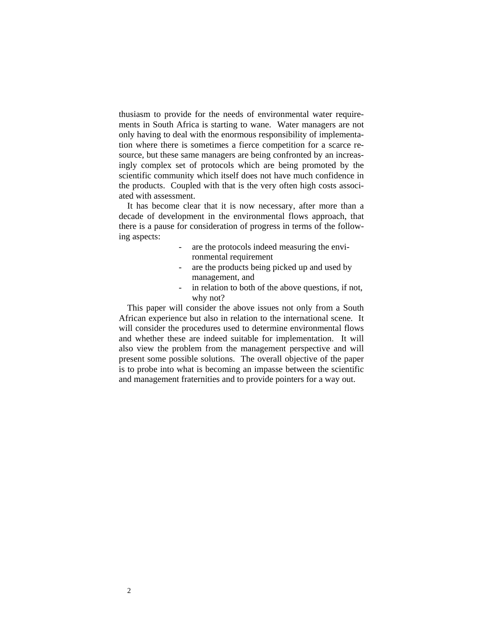thusiasm to provide for the needs of environmental water requirements in South Africa is starting to wane. Water managers are not only having to deal with the enormous responsibility of implementation where there is sometimes a fierce competition for a scarce resource, but these same managers are being confronted by an increasingly complex set of protocols which are being promoted by the scientific community which itself does not have much confidence in the products. Coupled with that is the very often high costs associated with assessment.

It has become clear that it is now necessary, after more than a decade of development in the environmental flows approach, that there is a pause for consideration of progress in terms of the following aspects:

- are the protocols indeed measuring the environmental requirement
- are the products being picked up and used by management, and
- in relation to both of the above questions, if not, why not?

This paper will consider the above issues not only from a South African experience but also in relation to the international scene. It will consider the procedures used to determine environmental flows and whether these are indeed suitable for implementation. It will also view the problem from the management perspective and will present some possible solutions. The overall objective of the paper is to probe into what is becoming an impasse between the scientific and management fraternities and to provide pointers for a way out.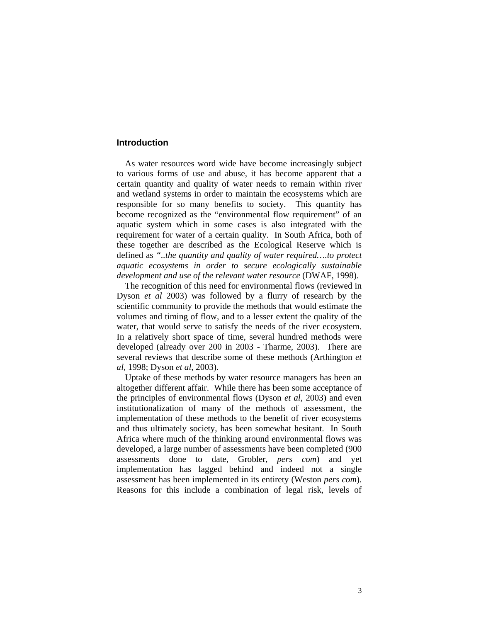# **Introduction**

As water resources word wide have become increasingly subject to various forms of use and abuse, it has become apparent that a certain quantity and quality of water needs to remain within river and wetland systems in order to maintain the ecosystems which are responsible for so many benefits to society. This quantity has become recognized as the "environmental flow requirement" of an aquatic system which in some cases is also integrated with the requirement for water of a certain quality. In South Africa, both of these together are described as the Ecological Reserve which is defined as *"..the quantity and quality of water required….to protect aquatic ecosystems in order to secure ecologically sustainable development and use of the relevant water resource* (DWAF, 1998).

The recognition of this need for environmental flows (reviewed in Dyson *et al* 2003) was followed by a flurry of research by the scientific community to provide the methods that would estimate the volumes and timing of flow, and to a lesser extent the quality of the water, that would serve to satisfy the needs of the river ecosystem. In a relatively short space of time, several hundred methods were developed (already over 200 in 2003 - Tharme, 2003). There are several reviews that describe some of these methods (Arthington *et al,* 1998; Dyson *et al*, 2003).

Uptake of these methods by water resource managers has been an altogether different affair. While there has been some acceptance of the principles of environmental flows (Dyson *et al*, 2003) and even institutionalization of many of the methods of assessment, the implementation of these methods to the benefit of river ecosystems and thus ultimately society, has been somewhat hesitant. In South Africa where much of the thinking around environmental flows was developed, a large number of assessments have been completed (900 assessments done to date, Grobler, *pers com*) and yet implementation has lagged behind and indeed not a single assessment has been implemented in its entirety (Weston *pers com*). Reasons for this include a combination of legal risk, levels of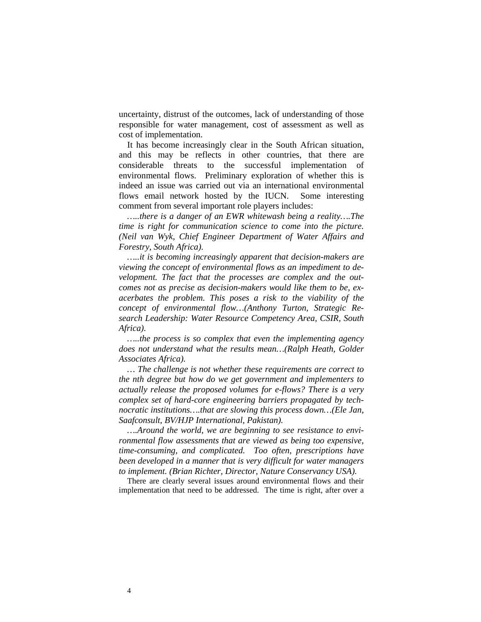uncertainty, distrust of the outcomes, lack of understanding of those responsible for water management, cost of assessment as well as cost of implementation.

It has become increasingly clear in the South African situation, and this may be reflects in other countries, that there are considerable threats to the successful implementation of environmental flows. Preliminary exploration of whether this is indeed an issue was carried out via an international environmental flows email network hosted by the IUCN. Some interesting comment from several important role players includes:

*…..there is a danger of an EWR whitewash being a reality….The time is right for communication science to come into the picture. (Neil van Wyk, Chief Engineer Department of Water Affairs and Forestry, South Africa).* 

*…..it is becoming increasingly apparent that decision-makers are viewing the concept of environmental flows as an impediment to development. The fact that the processes are complex and the outcomes not as precise as decision-makers would like them to be, exacerbates the problem. This poses a risk to the viability of the concept of environmental flow…(Anthony Turton, Strategic Research Leadership: Water Resource Competency Area, CSIR, South Africa).* 

*…..the process is so complex that even the implementing agency does not understand what the results mean…(Ralph Heath, Golder Associates Africa).* 

*… The challenge is not whether these requirements are correct to the nth degree but how do we get government and implementers to actually release the proposed volumes for e-flows? There is a very complex set of hard-core engineering barriers propagated by technocratic institutions….that are slowing this process down…(Ele Jan, Saafconsult, BV/HJP International, Pakistan).* 

*….Around the world, we are beginning to see resistance to environmental flow assessments that are viewed as being too expensive, time-consuming, and complicated. Too often, prescriptions have been developed in a manner that is very difficult for water managers to implement. (Brian Richter, Director, Nature Conservancy USA).* 

There are clearly several issues around environmental flows and their implementation that need to be addressed. The time is right, after over a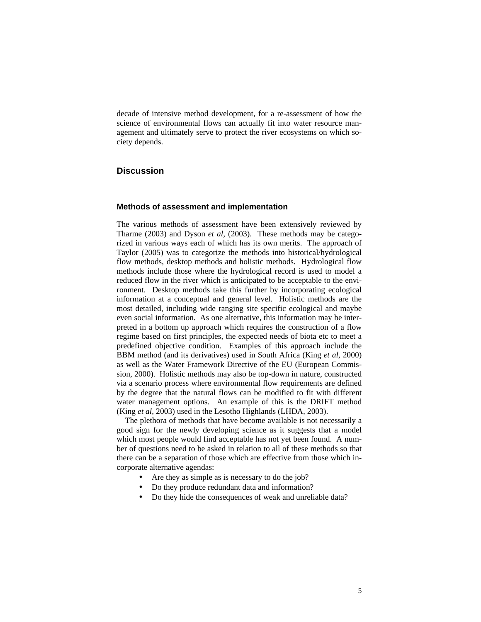decade of intensive method development, for a re-assessment of how the science of environmental flows can actually fit into water resource management and ultimately serve to protect the river ecosystems on which society depends.

## **Discussion**

#### **Methods of assessment and implementation**

The various methods of assessment have been extensively reviewed by Tharme (2003) and Dyson *et al*, (2003). These methods may be categorized in various ways each of which has its own merits. The approach of Taylor (2005) was to categorize the methods into historical/hydrological flow methods, desktop methods and holistic methods. Hydrological flow methods include those where the hydrological record is used to model a reduced flow in the river which is anticipated to be acceptable to the environment. Desktop methods take this further by incorporating ecological information at a conceptual and general level. Holistic methods are the most detailed, including wide ranging site specific ecological and maybe even social information. As one alternative, this information may be interpreted in a bottom up approach which requires the construction of a flow regime based on first principles, the expected needs of biota etc to meet a predefined objective condition. Examples of this approach include the BBM method (and its derivatives) used in South Africa (King *et al*, 2000) as well as the Water Framework Directive of the EU (European Commission, 2000). Holistic methods may also be top-down in nature, constructed via a scenario process where environmental flow requirements are defined by the degree that the natural flows can be modified to fit with different water management options. An example of this is the DRIFT method (King *et al*, 2003) used in the Lesotho Highlands (LHDA, 2003).

The plethora of methods that have become available is not necessarily a good sign for the newly developing science as it suggests that a model which most people would find acceptable has not yet been found. A number of questions need to be asked in relation to all of these methods so that there can be a separation of those which are effective from those which incorporate alternative agendas:

- Are they as simple as is necessary to do the job?
- Do they produce redundant data and information?
- Do they hide the consequences of weak and unreliable data?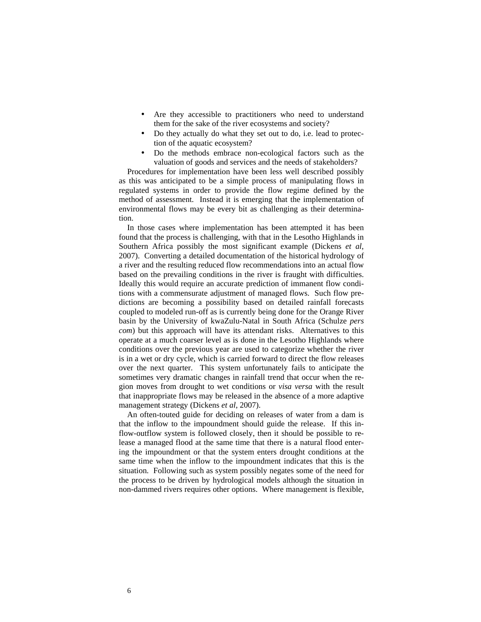- Are they accessible to practitioners who need to understand them for the sake of the river ecosystems and society?
- Do they actually do what they set out to do, i.e. lead to protection of the aquatic ecosystem?
- Do the methods embrace non-ecological factors such as the valuation of goods and services and the needs of stakeholders?

Procedures for implementation have been less well described possibly as this was anticipated to be a simple process of manipulating flows in regulated systems in order to provide the flow regime defined by the method of assessment. Instead it is emerging that the implementation of environmental flows may be every bit as challenging as their determination.

In those cases where implementation has been attempted it has been found that the process is challenging, with that in the Lesotho Highlands in Southern Africa possibly the most significant example (Dickens *et al*, 2007). Converting a detailed documentation of the historical hydrology of a river and the resulting reduced flow recommendations into an actual flow based on the prevailing conditions in the river is fraught with difficulties. Ideally this would require an accurate prediction of immanent flow conditions with a commensurate adjustment of managed flows. Such flow predictions are becoming a possibility based on detailed rainfall forecasts coupled to modeled run-off as is currently being done for the Orange River basin by the University of kwaZulu-Natal in South Africa (Schulze *pers com*) but this approach will have its attendant risks. Alternatives to this operate at a much coarser level as is done in the Lesotho Highlands where conditions over the previous year are used to categorize whether the river is in a wet or dry cycle, which is carried forward to direct the flow releases over the next quarter. This system unfortunately fails to anticipate the sometimes very dramatic changes in rainfall trend that occur when the region moves from drought to wet conditions or *visa versa* with the result that inappropriate flows may be released in the absence of a more adaptive management strategy (Dickens *et al*, 2007).

An often-touted guide for deciding on releases of water from a dam is that the inflow to the impoundment should guide the release. If this inflow-outflow system is followed closely, then it should be possible to release a managed flood at the same time that there is a natural flood entering the impoundment or that the system enters drought conditions at the same time when the inflow to the impoundment indicates that this is the situation. Following such as system possibly negates some of the need for the process to be driven by hydrological models although the situation in non-dammed rivers requires other options. Where management is flexible,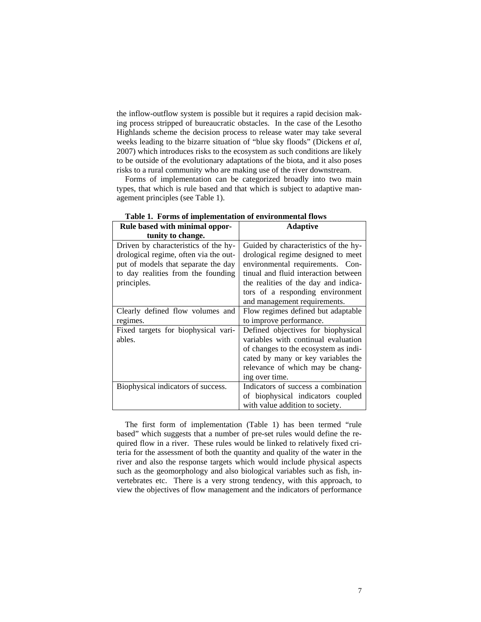the inflow-outflow system is possible but it requires a rapid decision making process stripped of bureaucratic obstacles. In the case of the Lesotho Highlands scheme the decision process to release water may take several weeks leading to the bizarre situation of "blue sky floods" (Dickens *et al*, 2007) which introduces risks to the ecosystem as such conditions are likely to be outside of the evolutionary adaptations of the biota, and it also poses risks to a rural community who are making use of the river downstream.

Forms of implementation can be categorized broadly into two main types, that which is rule based and that which is subject to adaptive management principles (see Table 1).

| Rule based with minimal oppor-        | <b>Adaptive</b>                      |
|---------------------------------------|--------------------------------------|
| tunity to change.                     |                                      |
| Driven by characteristics of the hy-  | Guided by characteristics of the hy- |
| drological regime, often via the out- | drological regime designed to meet   |
| put of models that separate the day   | environmental requirements. Con-     |
| to day realities from the founding    | tinual and fluid interaction between |
| principles.                           | the realities of the day and indica- |
|                                       | tors of a responding environment     |
|                                       | and management requirements.         |
| Clearly defined flow volumes and      | Flow regimes defined but adaptable   |
| regimes.                              | to improve performance.              |
| Fixed targets for biophysical vari-   | Defined objectives for biophysical   |
| ables.                                | variables with continual evaluation  |
|                                       | of changes to the ecosystem as indi- |
|                                       | cated by many or key variables the   |
|                                       | relevance of which may be chang-     |
|                                       | ing over time.                       |
| Biophysical indicators of success.    | Indicators of success a combination  |
|                                       | of biophysical indicators coupled    |
|                                       | with value addition to society.      |

**Table 1. Forms of implementation of environmental flows** 

The first form of implementation (Table 1) has been termed "rule based" which suggests that a number of pre-set rules would define the required flow in a river. These rules would be linked to relatively fixed criteria for the assessment of both the quantity and quality of the water in the river and also the response targets which would include physical aspects such as the geomorphology and also biological variables such as fish, invertebrates etc. There is a very strong tendency, with this approach, to view the objectives of flow management and the indicators of performance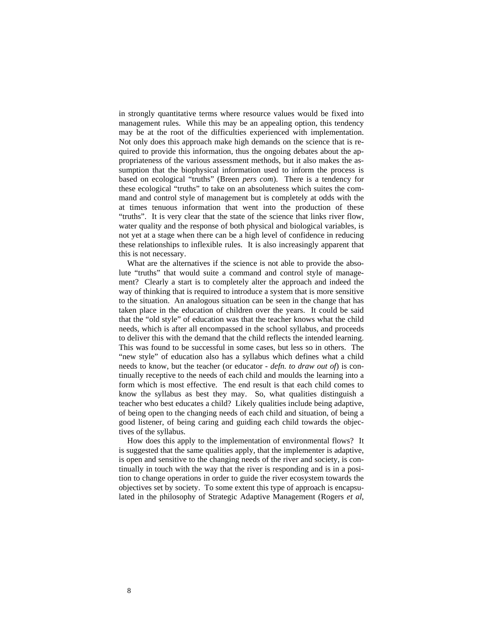in strongly quantitative terms where resource values would be fixed into management rules. While this may be an appealing option, this tendency may be at the root of the difficulties experienced with implementation. Not only does this approach make high demands on the science that is required to provide this information, thus the ongoing debates about the appropriateness of the various assessment methods, but it also makes the assumption that the biophysical information used to inform the process is based on ecological "truths" (Breen *pers com*). There is a tendency for these ecological "truths" to take on an absoluteness which suites the command and control style of management but is completely at odds with the at times tenuous information that went into the production of these "truths". It is very clear that the state of the science that links river flow, water quality and the response of both physical and biological variables, is not yet at a stage when there can be a high level of confidence in reducing these relationships to inflexible rules. It is also increasingly apparent that this is not necessary.

What are the alternatives if the science is not able to provide the absolute "truths" that would suite a command and control style of management? Clearly a start is to completely alter the approach and indeed the way of thinking that is required to introduce a system that is more sensitive to the situation. An analogous situation can be seen in the change that has taken place in the education of children over the years. It could be said that the "old style" of education was that the teacher knows what the child needs, which is after all encompassed in the school syllabus, and proceeds to deliver this with the demand that the child reflects the intended learning. This was found to be successful in some cases, but less so in others. The "new style" of education also has a syllabus which defines what a child needs to know, but the teacher (or educator - *defn. to draw out of*) is continually receptive to the needs of each child and moulds the learning into a form which is most effective. The end result is that each child comes to know the syllabus as best they may. So, what qualities distinguish a teacher who best educates a child? Likely qualities include being adaptive, of being open to the changing needs of each child and situation, of being a good listener, of being caring and guiding each child towards the objectives of the syllabus.

How does this apply to the implementation of environmental flows? It is suggested that the same qualities apply, that the implementer is adaptive, is open and sensitive to the changing needs of the river and society, is continually in touch with the way that the river is responding and is in a position to change operations in order to guide the river ecosystem towards the objectives set by society. To some extent this type of approach is encapsulated in the philosophy of Strategic Adaptive Management (Rogers *et al*,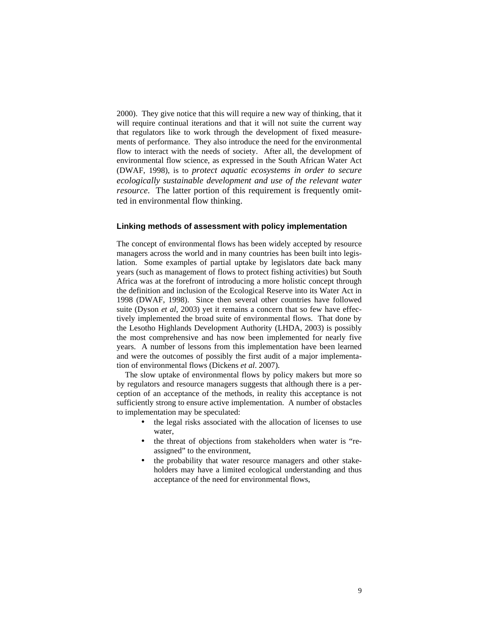2000). They give notice that this will require a new way of thinking, that it will require continual iterations and that it will not suite the current way that regulators like to work through the development of fixed measurements of performance. They also introduce the need for the environmental flow to interact with the needs of society. After all, the development of environmental flow science, as expressed in the South African Water Act (DWAF, 1998), is to *protect aquatic ecosystems in order to secure ecologically sustainable development and use of the relevant water resource*. The latter portion of this requirement is frequently omitted in environmental flow thinking.

#### **Linking methods of assessment with policy implementation**

The concept of environmental flows has been widely accepted by resource managers across the world and in many countries has been built into legislation. Some examples of partial uptake by legislators date back many years (such as management of flows to protect fishing activities) but South Africa was at the forefront of introducing a more holistic concept through the definition and inclusion of the Ecological Reserve into its Water Act in 1998 (DWAF, 1998). Since then several other countries have followed suite (Dyson *et al*, 2003) yet it remains a concern that so few have effectively implemented the broad suite of environmental flows. That done by the Lesotho Highlands Development Authority (LHDA, 2003) is possibly the most comprehensive and has now been implemented for nearly five years. A number of lessons from this implementation have been learned and were the outcomes of possibly the first audit of a major implementation of environmental flows (Dickens *et al*. 2007).

The slow uptake of environmental flows by policy makers but more so by regulators and resource managers suggests that although there is a perception of an acceptance of the methods, in reality this acceptance is not sufficiently strong to ensure active implementation. A number of obstacles to implementation may be speculated:

- the legal risks associated with the allocation of licenses to use water,
- the threat of objections from stakeholders when water is "reassigned" to the environment,
- the probability that water resource managers and other stakeholders may have a limited ecological understanding and thus acceptance of the need for environmental flows,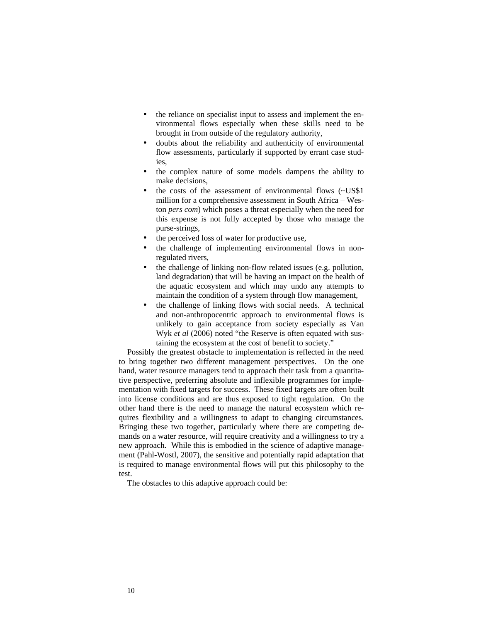- the reliance on specialist input to assess and implement the environmental flows especially when these skills need to be brought in from outside of the regulatory authority,
- doubts about the reliability and authenticity of environmental flow assessments, particularly if supported by errant case studies,
- the complex nature of some models dampens the ability to make decisions,
- the costs of the assessment of environmental flows (~US\$1) million for a comprehensive assessment in South Africa – Weston *pers com*) which poses a threat especially when the need for this expense is not fully accepted by those who manage the purse-strings,
- the perceived loss of water for productive use,
- the challenge of implementing environmental flows in nonregulated rivers,
- the challenge of linking non-flow related issues (e.g. pollution, land degradation) that will be having an impact on the health of the aquatic ecosystem and which may undo any attempts to maintain the condition of a system through flow management,
- the challenge of linking flows with social needs. A technical and non-anthropocentric approach to environmental flows is unlikely to gain acceptance from society especially as Van Wyk *et al* (2006) noted "the Reserve is often equated with sustaining the ecosystem at the cost of benefit to society."

Possibly the greatest obstacle to implementation is reflected in the need to bring together two different management perspectives. On the one hand, water resource managers tend to approach their task from a quantitative perspective, preferring absolute and inflexible programmes for implementation with fixed targets for success. These fixed targets are often built into license conditions and are thus exposed to tight regulation. On the other hand there is the need to manage the natural ecosystem which requires flexibility and a willingness to adapt to changing circumstances. Bringing these two together, particularly where there are competing demands on a water resource, will require creativity and a willingness to try a new approach. While this is embodied in the science of adaptive management (Pahl-Wostl, 2007), the sensitive and potentially rapid adaptation that is required to manage environmental flows will put this philosophy to the test.

The obstacles to this adaptive approach could be: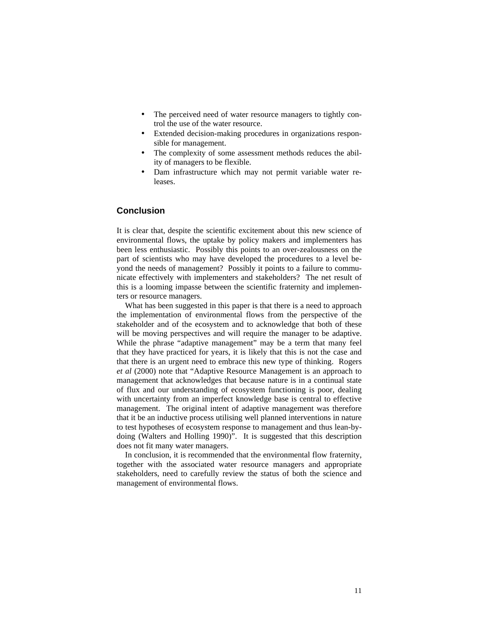- The perceived need of water resource managers to tightly control the use of the water resource.
- Extended decision-making procedures in organizations responsible for management.
- The complexity of some assessment methods reduces the ability of managers to be flexible.
- Dam infrastructure which may not permit variable water releases.

#### **Conclusion**

It is clear that, despite the scientific excitement about this new science of environmental flows, the uptake by policy makers and implementers has been less enthusiastic. Possibly this points to an over-zealousness on the part of scientists who may have developed the procedures to a level beyond the needs of management? Possibly it points to a failure to communicate effectively with implementers and stakeholders? The net result of this is a looming impasse between the scientific fraternity and implementers or resource managers.

What has been suggested in this paper is that there is a need to approach the implementation of environmental flows from the perspective of the stakeholder and of the ecosystem and to acknowledge that both of these will be moving perspectives and will require the manager to be adaptive. While the phrase "adaptive management" may be a term that many feel that they have practiced for years, it is likely that this is not the case and that there is an urgent need to embrace this new type of thinking. Rogers *et al* (2000) note that "Adaptive Resource Management is an approach to management that acknowledges that because nature is in a continual state of flux and our understanding of ecosystem functioning is poor, dealing with uncertainty from an imperfect knowledge base is central to effective management. The original intent of adaptive management was therefore that it be an inductive process utilising well planned interventions in nature to test hypotheses of ecosystem response to management and thus lean-bydoing (Walters and Holling 1990)". It is suggested that this description does not fit many water managers.

In conclusion, it is recommended that the environmental flow fraternity, together with the associated water resource managers and appropriate stakeholders, need to carefully review the status of both the science and management of environmental flows.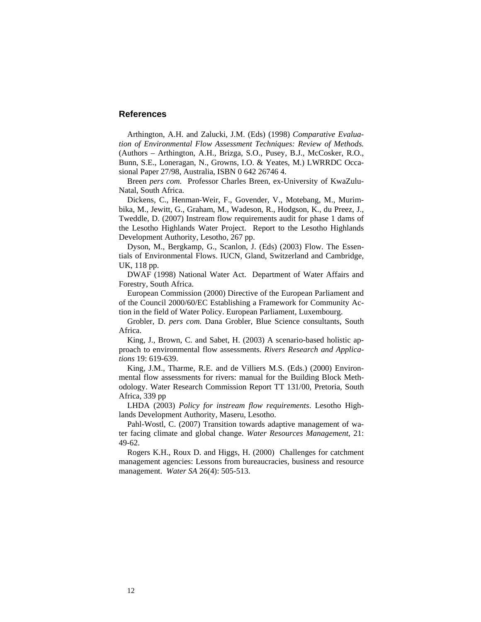## **References**

Arthington, A.H. and Zalucki, J.M. (Eds) (1998) *Comparative Evaluation of Environmental Flow Assessment Techniques: Review of Methods.*  (Authors – Arthington, A.H., Brizga, S.O., Pusey, B.J., McCosker, R.O., Bunn, S.E., Loneragan, N., Growns, I.O. & Yeates, M.) LWRRDC Occasional Paper 27/98, Australia, ISBN 0 642 26746 4.

Breen *pers com.* Professor Charles Breen, ex-University of KwaZulu-Natal, South Africa.

Dickens, C., Henman-Weir, F., Govender, V., Motebang, M., Murimbika, M., Jewitt, G., Graham, M., Wadeson, R., Hodgson, K., du Preez, J., Tweddle, D. (2007) Instream flow requirements audit for phase 1 dams of the Lesotho Highlands Water Project. Report to the Lesotho Highlands Development Authority, Lesotho, 267 pp.

Dyson, M., Bergkamp, G., Scanlon, J. (Eds) (2003) Flow. The Essentials of Environmental Flows. IUCN, Gland, Switzerland and Cambridge, UK, 118 pp.

DWAF (1998) National Water Act. Department of Water Affairs and Forestry, South Africa.

European Commission (2000) Directive of the European Parliament and of the Council 2000/60/EC Establishing a Framework for Community Action in the field of Water Policy. European Parliament, Luxembourg.

Grobler, D. *pers com.* Dana Grobler, Blue Science consultants, South Africa.

King, J., Brown, C. and Sabet, H. (2003) A scenario-based holistic approach to environmental flow assessments. *Rivers Research and Applications* 19: 619-639.

King, J.M., Tharme, R.E. and de Villiers M.S. (Eds.) (2000) Environmental flow assessments for rivers: manual for the Building Block Methodology. Water Research Commission Report TT 131/00, Pretoria, South Africa, 339 pp

LHDA (2003) *Policy for instream flow requirements*. Lesotho Highlands Development Authority, Maseru, Lesotho.

Pahl-Wostl, C. (2007) Transition towards adaptive management of water facing climate and global change. *Water Resources Management*, 21: 49-62.

Rogers K.H., Roux D. and Higgs, H. (2000) Challenges for catchment management agencies: Lessons from bureaucracies, business and resource management. *Water SA* 26(4): 505-513.